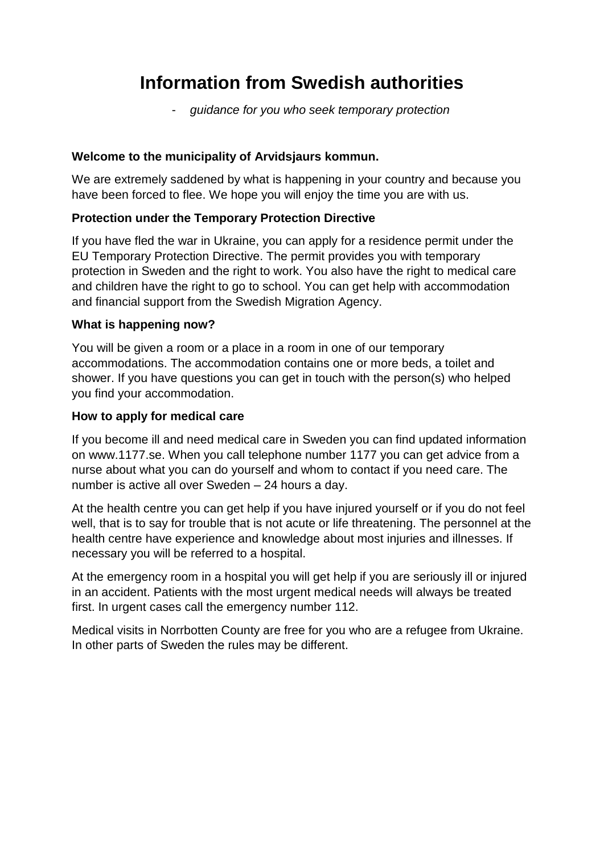# **Information from Swedish authorities**

- *guidance for you who seek temporary protection* 

#### **Welcome to the municipality of Arvidsjaurs kommun.**

We are extremely saddened by what is happening in your country and because you have been forced to flee. We hope you will enjoy the time you are with us.

# **Protection under the Temporary Protection Directive**

If you have fled the war in Ukraine, you can apply for a residence permit under the EU Temporary Protection Directive. The permit provides you with temporary protection in Sweden and the right to work. You also have the right to medical care and children have the right to go to school. You can get help with accommodation and financial support from the Swedish Migration Agency.

#### **What is happening now?**

You will be given a room or a place in a room in one of our temporary accommodations. The accommodation contains one or more beds, a toilet and shower. If you have questions you can get in touch with the person(s) who helped you find your accommodation.

#### **How to apply for medical care**

If you become ill and need medical care in Sweden you can find updated information on www.1177.se. When you call telephone number 1177 you can get advice from a nurse about what you can do yourself and whom to contact if you need care. The number is active all over Sweden – 24 hours a day.

At the health centre you can get help if you have injured yourself or if you do not feel well, that is to say for trouble that is not acute or life threatening. The personnel at the health centre have experience and knowledge about most injuries and illnesses. If necessary you will be referred to a hospital.

At the emergency room in a hospital you will get help if you are seriously ill or injured in an accident. Patients with the most urgent medical needs will always be treated first. In urgent cases call the emergency number 112.

Medical visits in Norrbotten County are free for you who are a refugee from Ukraine. In other parts of Sweden the rules may be different.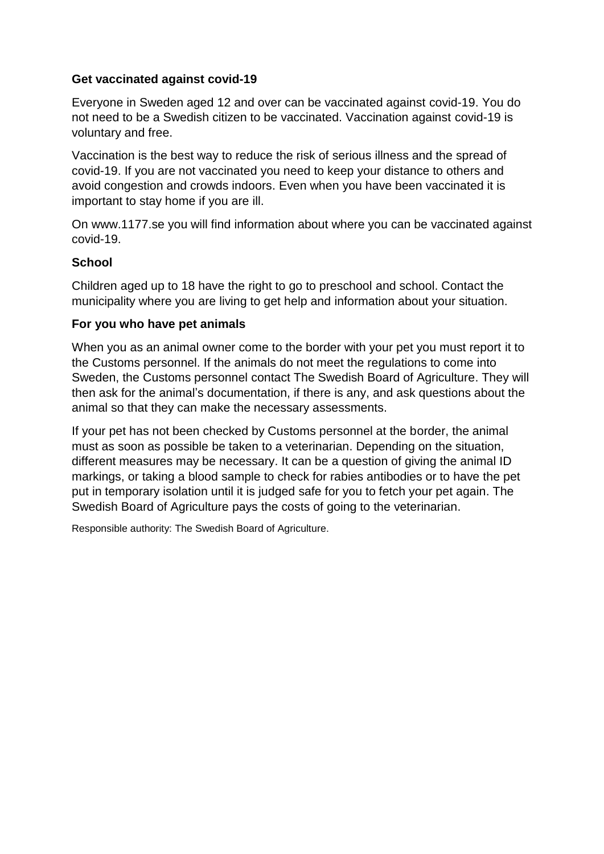# **Get vaccinated against covid-19**

Everyone in Sweden aged 12 and over can be vaccinated against covid-19. You do not need to be a Swedish citizen to be vaccinated. Vaccination against covid-19 is voluntary and free.

Vaccination is the best way to reduce the risk of serious illness and the spread of covid-19. If you are not vaccinated you need to keep your distance to others and avoid congestion and crowds indoors. Even when you have been vaccinated it is important to stay home if you are ill.

On www.1177.se you will find information about where you can be vaccinated against covid-19.

# **School**

Children aged up to 18 have the right to go to preschool and school. Contact the municipality where you are living to get help and information about your situation.

# **For you who have pet animals**

When you as an animal owner come to the border with your pet you must report it to the Customs personnel. If the animals do not meet the regulations to come into Sweden, the Customs personnel contact The Swedish Board of Agriculture. They will then ask for the animal's documentation, if there is any, and ask questions about the animal so that they can make the necessary assessments.

If your pet has not been checked by Customs personnel at the border, the animal must as soon as possible be taken to a veterinarian. Depending on the situation, different measures may be necessary. It can be a question of giving the animal ID markings, or taking a blood sample to check for rabies antibodies or to have the pet put in temporary isolation until it is judged safe for you to fetch your pet again. The Swedish Board of Agriculture pays the costs of going to the veterinarian.

Responsible authority: The Swedish Board of Agriculture.